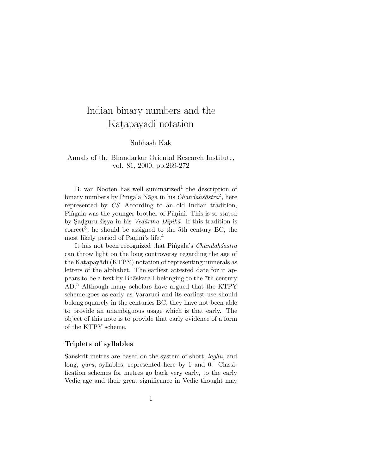# Indian binary numbers and the Katapayādi notation

Subhash Kak

## Annals of the Bhandarkar Oriental Research Institute, vol. 81, 2000, pp.269-272

B. van Nooten has well summarized<sup>1</sup> the description of binary numbers by Pingala Nāga in his Chandah. $\delta$ āstra<sup>2</sup>, here represented by CS. According to an old Indian tradition, Pingala was the younger brother of Pānini. This is so stated by Sadguru-sisya in his Ved $\bar{a}$ rtha D $\bar{i}pik\bar{a}$ . If this tradition is  $correct<sup>3</sup>$ , he should be assigned to the 5th century BC, the most likely period of P $\overline{a}$ nini's life.<sup>4</sup>

It has not been recognized that Pingala's Chandahsastra can throw light on the long controversy regarding the age of the Katapayādi (KTPY) notation of representing numerals as letters of the alphabet. The earliest attested date for it appears to be a text by Bhaskara I belonging to the 7th century AD.<sup>5</sup> Although many scholars have argued that the KTPY scheme goes as early as Vararuci and its earliest use should belong squarely in the centuries BC, they have not been able to provide an unambiguous usage which is that early. The object of this note is to provide that early evidence of a form of the KTPY scheme.

### **Triplets of syllables**

Sanskrit metres are based on the system of short, laghu, and long, *guru*, syllables, represented here by 1 and 0. Classification schemes for metres go back very early, to the early Vedic age and their great significance in Vedic thought may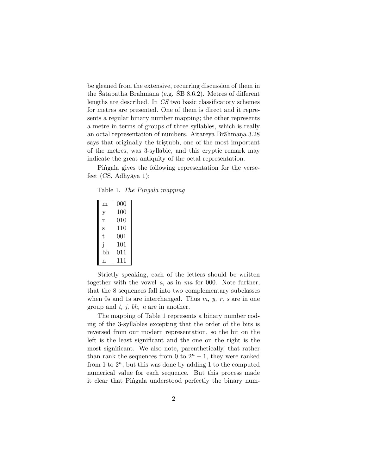be gleaned from the extensive, recurring discussion of them in the Satapatha Brāhmana (e.g.  $\overline{SB}$  8.6.2). Metres of different lengths are described. In CS two basic classificatory schemes for metres are presented. One of them is direct and it represents a regular binary number mapping; the other represents a metre in terms of groups of three syllables, which is really an octal representation of numbers. Aitareya Brāhmana 3.28 says that originally the tristubh, one of the most important of the metres, was 3-syllabic, and this cryptic remark may indicate the great antiquity of the octal representation.

Pingala gives the following representation for the versefeet  $(CS, \text{Adhyāya 1}):$ 

Table 1. The Pingala mapping

| m  | 000     |
|----|---------|
| у  | 100     |
| r  | $010\,$ |
| S  | 110     |
| t  | 001     |
| Ť  | 101     |
| bh | 011     |
| n  | 111     |

Strictly speaking, each of the letters should be written together with the vowel a, as in ma for 000. Note further, that the 8 sequences fall into two complementary subclasses when 0s and 1s are interchanged. Thus  $m$ ,  $y$ ,  $r$ ,  $s$  are in one group and  $t$ ,  $j$ ,  $bh$ ,  $n$  are in another.

The mapping of Table 1 represents a binary number coding of the 3-syllables excepting that the order of the bits is reversed from our modern representation, so the bit on the left is the least significant and the one on the right is the most significant. We also note, parenthetically, that rather than rank the sequences from 0 to  $2<sup>n</sup> - 1$ , they were ranked from 1 to  $2^n$ , but this was done by adding 1 to the computed numerical value for each sequence. But this process made it clear that Pingala understood perfectly the binary num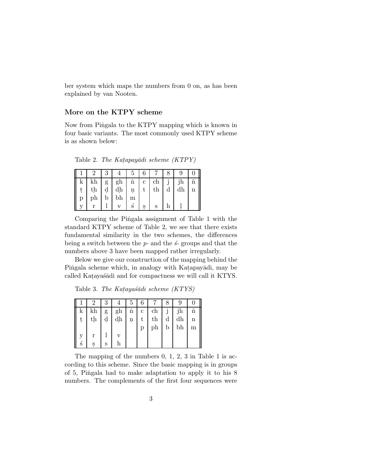ber system which maps the numbers from 0 on, as has been explained by van Nooten.

### **More on the KTPY scheme**

Now from Pingala to the KTPY mapping which is known in four basic variants. The most commonly used KTPY scheme is as shown below:

Table 2. The Katapayādi scheme  $(KTPY)$ 

|   |    |   |                  | $\sigma$  |                |             |   |    |  |
|---|----|---|------------------|-----------|----------------|-------------|---|----|--|
| k | kh |   | $g \mid gh \mid$ | $\dot{n}$ | c <sub>1</sub> | ch          |   | jh |  |
| ţ | th |   | $d \mid dh \mid$ | ņ         | t              | $_{\rm th}$ | d | dh |  |
| р | ph | b | bh               | m         |                |             |   |    |  |
|   |    |   |                  | S         | Ş              | S           |   |    |  |

Comparing the Pingala assignment of Table 1 with the standard KTPY scheme of Table 2, we see that there exists fundamental similarity in the two schemes, the differences being a switch between the  $p$ - and the  $\acute{s}$ - groups and that the numbers above 3 have been mapped rather irregularly.

Below we give our construction of the mapping behind the Pingala scheme which, in analogy with Katapayādi, may be called Katayaśādi and for compactness we will call it KTYS.

Table 3. The Katayas $\bar{a}d$ i scheme (KTYS)

|    |               |   |    | G                   | 6            |    |              |    |             |
|----|---------------|---|----|---------------------|--------------|----|--------------|----|-------------|
| k. | kh            | g | gh | $\dot{n}$           | $\mathbf{c}$ | ch | $\mathbf{J}$ | jh | $\tilde{n}$ |
| ţ  | $\mathrm{th}$ | d | dh | $\ddot{\mathbf{n}}$ | t            | th | $\mathbf d$  | dh | $\mathbf n$ |
|    |               |   |    |                     | р            | ph | $\mathbf b$  | bh | m           |
|    | r             |   |    |                     |              |    |              |    |             |
| ś  |               | S |    |                     |              |    |              |    |             |

The mapping of the numbers 0, 1, 2, 3 in Table 1 is according to this scheme. Since the basic mapping is in groups of 5, Pingala had to make adaptation to apply it to his 8 numbers. The complements of the first four sequences were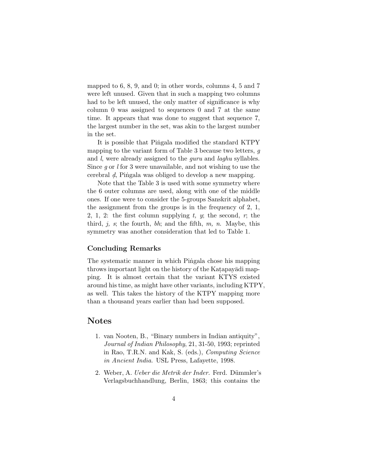mapped to 6, 8, 9, and 0; in other words, columns 4, 5 and 7 were left unused. Given that in such a mapping two columns had to be left unused, the only matter of significance is why column 0 was assigned to sequences 0 and 7 at the same time. It appears that was done to suggest that sequence 7, the largest number in the set, was akin to the largest number in the set.

It is possible that Pingala modified the standard KTPY mapping to the variant form of Table 3 because two letters, g and *l*, were already assigned to the *guru* and *laghu* syllables. Since  $q$  or l for 3 were unavailable, and not wishing to use the cerebral d. Pingala was obliged to develop a new mapping.

Note that the Table 3 is used with some symmetry where the 6 outer columns are used, along with one of the middle ones. If one were to consider the 5-groups Sanskrit alphabet, the assignment from the groups is in the frequency of 2, 1, 2, 1, 2: the first column supplying  $t$ ,  $y$ ; the second,  $r$ ; the third, j, s; the fourth, bh; and the fifth,  $m$ ,  $n$ . Maybe, this symmetry was another consideration that led to Table 1.

### **Concluding Remarks**

The systematic manner in which Pingala chose his mapping throws important light on the history of the Katapayadi mapping. It is almost certain that the variant KTYS existed around his time, as might have other variants, including KTPY, as well. This takes the history of the KTPY mapping more than a thousand years earlier than had been supposed.

## **Notes**

- 1. van Nooten, B., "Binary numbers in Indian antiquity", Journal of Indian Philosophy, 21, 31-50, 1993; reprinted in Rao, T.R.N. and Kak, S. (eds.), Computing Science in Ancient India. USL Press, Lafayette, 1998.
- 2. Weber, A. *Ueber die Metrik der Inder*. Ferd. Dümmler's Verlagsbuchhandlung, Berlin, 1863; this contains the